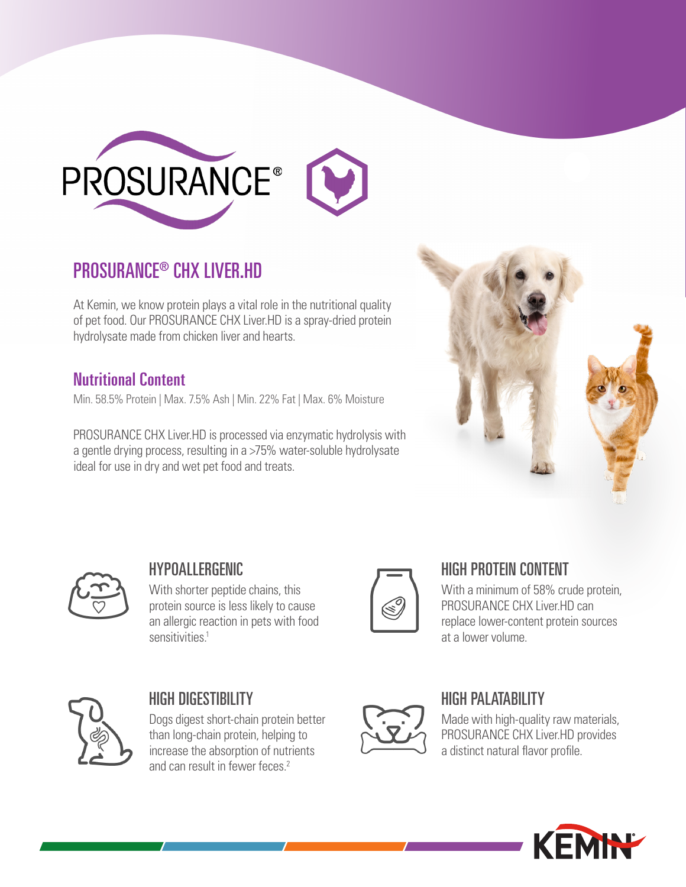

## PROSURANCE® CHX LIVER.HD

At Kemin, we know protein plays a vital role in the nutritional quality of pet food. Our PROSURANCE CHX Liver.HD is a spray-dried protein hydrolysate made from chicken liver and hearts.

## Nutritional Content

Min. 58.5% Protein | Max. 7.5% Ash | Min. 22% Fat | Max. 6% Moisture

PROSURANCE CHX Liver.HD is processed via enzymatic hydrolysis with a gentle drying process, resulting in a >75% water-soluble hydrolysate ideal for use in dry and wet pet food and treats.





#### HYPOALLERGENIC

With shorter peptide chains, this protein source is less likely to cause an allergic reaction in pets with food sensitivities<sup>1</sup>



#### HIGH PROTEIN CONTENT

With a minimum of 58% crude protein, PROSURANCE CHX Liver.HD can replace lower-content protein sources at a lower volume.



## HIGH DIGESTIBILITY

Dogs digest short-chain protein better than long-chain protein, helping to increase the absorption of nutrients and can result in fewer feces<sup>2</sup>



## HIGH PAI ATARILITY

Made with high-quality raw materials, PROSURANCE CHX Liver.HD provides a distinct natural flavor profile.